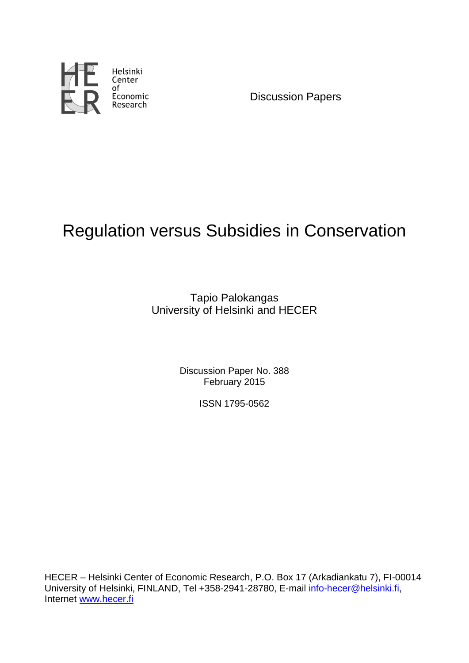

Discussion Papers

# Regulation versus Subsidies in Conservation

Tapio Palokangas University of Helsinki and HECER

> Discussion Paper No. 388 February 2015

> > ISSN 1795-0562

HECER – Helsinki Center of Economic Research, P.O. Box 17 (Arkadiankatu 7), FI-00014 University of Helsinki, FINLAND, Tel +358-2941-28780, E-mail [info-hecer@helsinki.fi,](mailto:info-hecer@helsinki.fi) Internet [www.hecer.fi](http://www.hecer.fi/)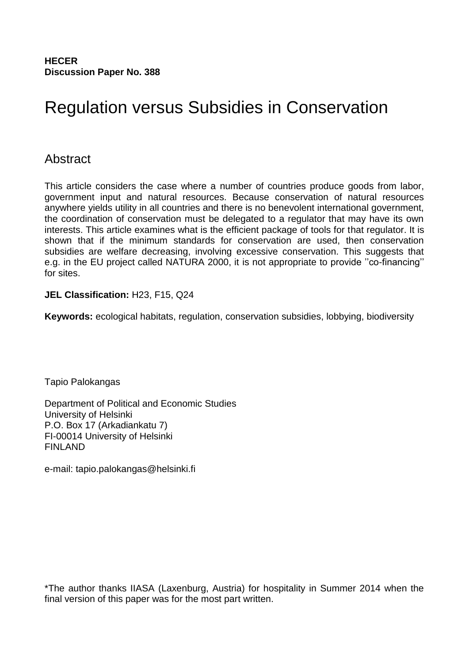**HECER Discussion Paper No. 388**

# Regulation versus Subsidies in Conservation

#### Abstract

This article considers the case where a number of countries produce goods from labor, government input and natural resources. Because conservation of natural resources anywhere yields utility in all countries and there is no benevolent international government, the coordination of conservation must be delegated to a regulator that may have its own interests. This article examines what is the efficient package of tools for that regulator. It is shown that if the minimum standards for conservation are used, then conservation subsidies are welfare decreasing, involving excessive conservation. This suggests that e.g. in the EU project called NATURA 2000, it is not appropriate to provide ''co-financing'' for sites.

#### **JEL Classification:** H23, F15, Q24

**Keywords:** ecological habitats, regulation, conservation subsidies, lobbying, biodiversity

Tapio Palokangas

Department of Political and Economic Studies University of Helsinki P.O. Box 17 (Arkadiankatu 7) FI-00014 University of Helsinki FINLAND

e-mail: tapio.palokangas@helsinki.fi

\*The author thanks IIASA (Laxenburg, Austria) for hospitality in Summer 2014 when the final version of this paper was for the most part written.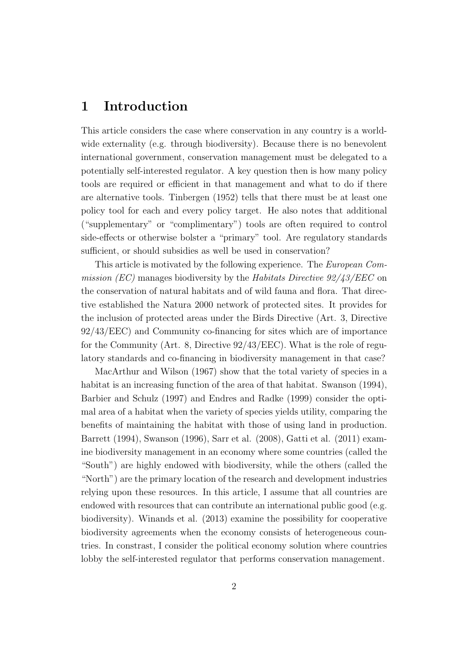#### 1 Introduction

This article considers the case where conservation in any country is a worldwide externality (e.g. through biodiversity). Because there is no benevolent international government, conservation management must be delegated to a potentially self-interested regulator. A key question then is how many policy tools are required or efficient in that management and what to do if there are alternative tools. Tinbergen (1952) tells that there must be at least one policy tool for each and every policy target. He also notes that additional ("supplementary" or "complimentary") tools are often required to control side-effects or otherwise bolster a "primary" tool. Are regulatory standards sufficient, or should subsidies as well be used in conservation?

This article is motivated by the following experience. The European Commission (EC) manages biodiversity by the Habitats Directive  $92/43/EEC$  on the conservation of natural habitats and of wild fauna and flora. That directive established the Natura 2000 network of protected sites. It provides for the inclusion of protected areas under the Birds Directive (Art. 3, Directive 92/43/EEC) and Community co-financing for sites which are of importance for the Community (Art. 8, Directive 92/43/EEC). What is the role of regulatory standards and co-financing in biodiversity management in that case?

MacArthur and Wilson (1967) show that the total variety of species in a habitat is an increasing function of the area of that habitat. Swanson (1994), Barbier and Schulz (1997) and Endres and Radke (1999) consider the optimal area of a habitat when the variety of species yields utility, comparing the benefits of maintaining the habitat with those of using land in production. Barrett (1994), Swanson (1996), Sarr et al. (2008), Gatti et al. (2011) examine biodiversity management in an economy where some countries (called the "South") are highly endowed with biodiversity, while the others (called the "North") are the primary location of the research and development industries relying upon these resources. In this article, I assume that all countries are endowed with resources that can contribute an international public good (e.g. biodiversity). Winands et al. (2013) examine the possibility for cooperative biodiversity agreements when the economy consists of heterogeneous countries. In constrast, I consider the political economy solution where countries lobby the self-interested regulator that performs conservation management.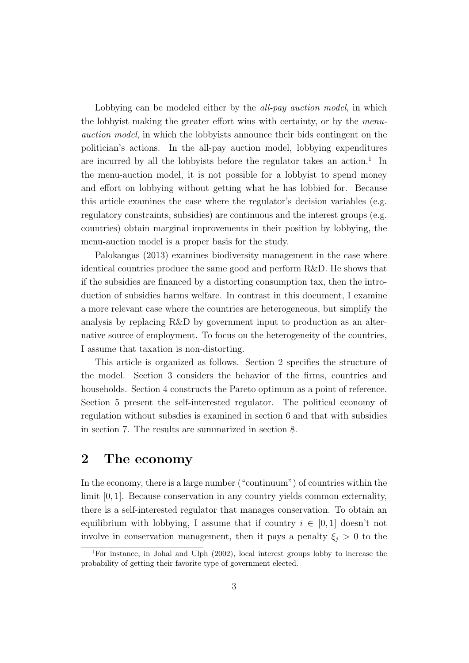Lobbying can be modeled either by the *all-pay auction model*, in which the lobbyist making the greater effort wins with certainty, or by the menuauction model, in which the lobbyists announce their bids contingent on the politician's actions. In the all-pay auction model, lobbying expenditures are incurred by all the lobbyists before the regulator takes an action.<sup>1</sup> In the menu-auction model, it is not possible for a lobbyist to spend money and effort on lobbying without getting what he has lobbied for. Because this article examines the case where the regulator's decision variables (e.g. regulatory constraints, subsidies) are continuous and the interest groups (e.g. countries) obtain marginal improvements in their position by lobbying, the menu-auction model is a proper basis for the study.

Palokangas (2013) examines biodiversity management in the case where identical countries produce the same good and perform R&D. He shows that if the subsidies are financed by a distorting consumption tax, then the introduction of subsidies harms welfare. In contrast in this document, I examine a more relevant case where the countries are heterogeneous, but simplify the analysis by replacing R&D by government input to production as an alternative source of employment. To focus on the heterogeneity of the countries, I assume that taxation is non-distorting.

This article is organized as follows. Section 2 specifies the structure of the model. Section 3 considers the behavior of the firms, countries and households. Section 4 constructs the Pareto optimum as a point of reference. Section 5 present the self-interested regulator. The political economy of regulation without subsdies is examined in section 6 and that with subsidies in section 7. The results are summarized in section 8.

#### 2 The economy

In the economy, there is a large number ("continuum") of countries within the limit [0, 1]. Because conservation in any country yields common externality, there is a self-interested regulator that manages conservation. To obtain an equilibrium with lobbying, I assume that if country  $i \in [0,1]$  doesn't not involve in conservation management, then it pays a penalty  $\xi_i > 0$  to the

<sup>1</sup>For instance, in Johal and Ulph (2002), local interest groups lobby to increase the probability of getting their favorite type of government elected.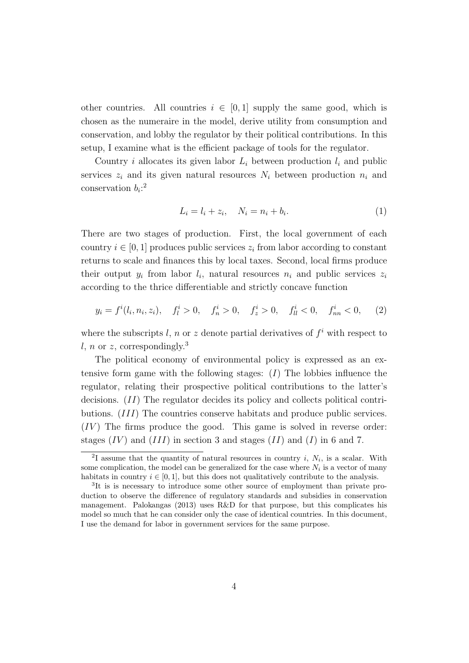other countries. All countries  $i \in [0,1]$  supply the same good, which is chosen as the numeraire in the model, derive utility from consumption and conservation, and lobby the regulator by their political contributions. In this setup, I examine what is the efficient package of tools for the regulator.

Country i allocates its given labor  $L_i$  between production  $l_i$  and public services  $z_i$  and its given natural resources  $N_i$  between production  $n_i$  and conservation  $b_i$ <sup>2</sup>

$$
L_i = l_i + z_i, \quad N_i = n_i + b_i.
$$
 (1)

There are two stages of production. First, the local government of each country  $i \in [0, 1]$  produces public services  $z_i$  from labor according to constant returns to scale and finances this by local taxes. Second, local firms produce their output  $y_i$  from labor  $l_i$ , natural resources  $n_i$  and public services  $z_i$ according to the thrice differentiable and strictly concave function

$$
y_i = f^i(l_i, n_i, z_i), \quad f^i_l > 0, \quad f^i_n > 0, \quad f^i_z > 0, \quad f^i_{ll} < 0, \quad f^i_{nn} < 0, \quad (2)
$$

where the subscripts l, n or z denote partial derivatives of  $f^i$  with respect to l, n or z, correspondingly.<sup>3</sup>

The political economy of environmental policy is expressed as an extensive form game with the following stages:  $(I)$  The lobbies influence the regulator, relating their prospective political contributions to the latter's decisions. (II) The regulator decides its policy and collects political contributions. (III) The countries conserve habitats and produce public services.  $(IV)$  The firms produce the good. This game is solved in reverse order: stages  $(IV)$  and  $(III)$  in section 3 and stages  $(II)$  and  $(I)$  in 6 and 7.

<sup>&</sup>lt;sup>2</sup>I assume that the quantity of natural resources in country *i*,  $N_i$ , is a scalar. With some complication, the model can be generalized for the case where  $N_i$  is a vector of many habitats in country  $i \in [0, 1]$ , but this does not qualitatively contribute to the analysis.

<sup>&</sup>lt;sup>3</sup>It is is necessary to introduce some other source of employment than private production to observe the difference of regulatory standards and subsidies in conservation management. Palokangas (2013) uses R&D for that purpose, but this complicates his model so much that he can consider only the case of identical countries. In this document, I use the demand for labor in government services for the same purpose.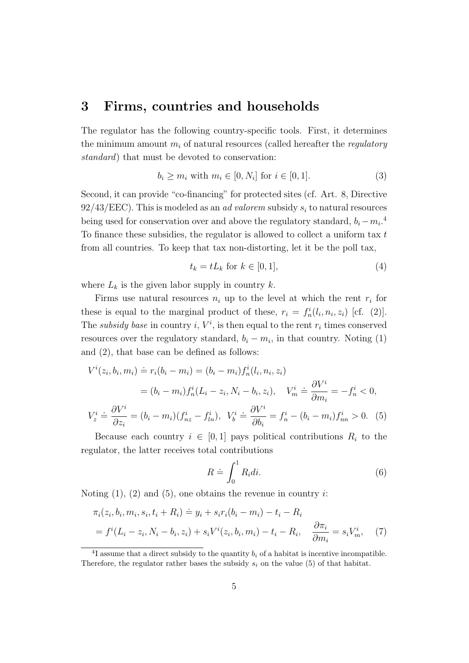#### 3 Firms, countries and households

The regulator has the following country-specific tools. First, it determines the minimum amount  $m_i$  of natural resources (called hereafter the *regulatory* standard) that must be devoted to conservation:

$$
b_i \ge m_i \text{ with } m_i \in [0, N_i] \text{ for } i \in [0, 1]. \tag{3}
$$

Second, it can provide "co-financing" for protected sites (cf. Art. 8, Directive  $92/43/EEC$ ). This is modeled as an *ad valorem* subsidy  $s_i$  to natural resources being used for conservation over and above the regulatory standard,  $b_i - m_i$ <sup>4</sup>. To finance these subsidies, the regulator is allowed to collect a uniform tax  $t$ from all countries. To keep that tax non-distorting, let it be the poll tax,

$$
t_k = tL_k \text{ for } k \in [0, 1],\tag{4}
$$

where  $L_k$  is the given labor supply in country k.

Firms use natural resources  $n_i$  up to the level at which the rent  $r_i$  for these is equal to the marginal product of these,  $r_i = f_n^i(l_i, n_i, z_i)$  [cf. (2)]. The subsidy base in country i,  $V^i$ , is then equal to the rent  $r_i$  times conserved resources over the regulatory standard,  $b_i - m_i$ , in that country. Noting (1) and (2), that base can be defined as follows:

$$
V^{i}(z_{i}, b_{i}, m_{i}) \doteq r_{i}(b_{i} - m_{i}) = (b_{i} - m_{i})f_{n}^{i}(l_{i}, n_{i}, z_{i})
$$
  

$$
= (b_{i} - m_{i})f_{n}^{i}(L_{i} - z_{i}, N_{i} - b_{i}, z_{i}), \quad V_{m}^{i} \doteq \frac{\partial V^{i}}{\partial m_{i}} = -f_{n}^{i} < 0,
$$
  

$$
V_{z}^{i} \doteq \frac{\partial V^{i}}{\partial z_{i}} = (b_{i} - m_{i})(f_{nz}^{i} - f_{ln}^{i}), \quad V_{b}^{i} \doteq \frac{\partial V^{i}}{\partial b_{i}} = f_{n}^{i} - (b_{i} - m_{i})f_{nn}^{i} > 0.
$$
 (5)

Because each country  $i \in [0,1]$  pays political contributions  $R_i$  to the regulator, the latter receives total contributions

$$
R \doteq \int_0^1 R_i di. \tag{6}
$$

Noting  $(1)$ ,  $(2)$  and  $(5)$ , one obtains the revenue in country *i*:

$$
\pi_i(z_i, b_i, m_i, s_i, t_i + R_i) \doteq y_i + s_i r_i (b_i - m_i) - t_i - R_i
$$
  
=  $f^i (L_i - z_i, N_i - b_i, z_i) + s_i V^i (z_i, b_i, m_i) - t_i - R_i, \quad \frac{\partial \pi_i}{\partial m_i} = s_i V^i_m,$  (7)

<sup>&</sup>lt;sup>4</sup>I assume that a direct subsidy to the quantity  $b_i$  of a habitat is incentive incompatible. Therefore, the regulator rather bases the subsidy  $s_i$  on the value (5) of that habitat.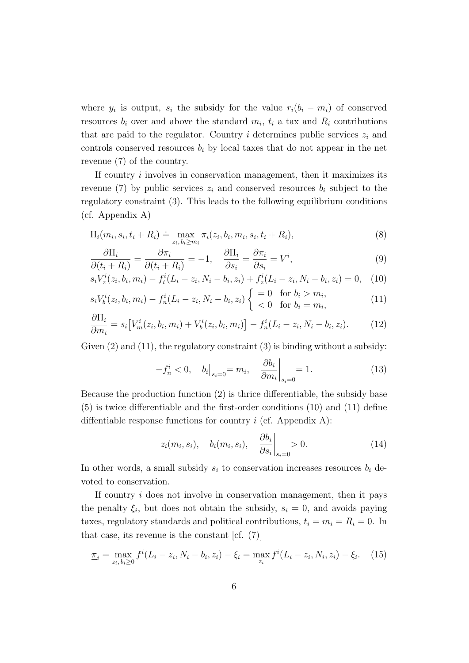where  $y_i$  is output,  $s_i$  the subsidy for the value  $r_i(b_i - m_i)$  of conserved resources  $b_i$  over and above the standard  $m_i$ ,  $t_i$  a tax and  $R_i$  contributions that are paid to the regulator. Country  $i$  determines public services  $z_i$  and controls conserved resources  $b_i$  by local taxes that do not appear in the net revenue (7) of the country.

If country i involves in conservation management, then it maximizes its revenue (7) by public services  $z_i$  and conserved resources  $b_i$  subject to the regulatory constraint (3). This leads to the following equilibrium conditions (cf. Appendix A)

$$
\Pi_i(m_i, s_i, t_i + R_i) \doteq \max_{z_i, b_i \ge m_i} \pi_i(z_i, b_i, m_i, s_i, t_i + R_i),
$$
\n(8)

$$
\frac{\partial \Pi_i}{\partial (t_i + R_i)} = \frac{\partial \pi_i}{\partial (t_i + R_i)} = -1, \quad \frac{\partial \Pi_i}{\partial s_i} = \frac{\partial \pi_i}{\partial s_i} = V^i,
$$
\n(9)

$$
s_i V_z^i(z_i, b_i, m_i) - f_l^i(L_i - z_i, N_i - b_i, z_i) + f_z^i(L_i - z_i, N_i - b_i, z_i) = 0, \quad (10)
$$

$$
s_i V_b^i(z_i, b_i, m_i) - f_n^i (L_i - z_i, N_i - b_i, z_i) \begin{cases} = 0 & \text{for } b_i > m_i, \\ < 0 & \text{for } b_i = m_i, \end{cases}
$$
 (11)

$$
\frac{\partial \Pi_i}{\partial m_i} = s_i \big[ V_m^i(z_i, b_i, m_i) + V_b^i(z_i, b_i, m_i) \big] - f_n^i(L_i - z_i, N_i - b_i, z_i). \tag{12}
$$

Given (2) and (11), the regulatory constraint (3) is binding without a subsidy:

$$
-f_n^i < 0, \quad b_i \big|_{s_i=0} = m_i, \quad \frac{\partial b_i}{\partial m_i} \big|_{s_i=0} = 1. \tag{13}
$$

Because the production function (2) is thrice differentiable, the subsidy base (5) is twice differentiable and the first-order conditions (10) and (11) define diffentiable response functions for country  $i$  (cf. Appendix A):

$$
z_i(m_i, s_i), \quad b_i(m_i, s_i), \quad \left. \frac{\partial b_i}{\partial s_i} \right|_{s_i=0} > 0. \tag{14}
$$

In other words, a small subsidy  $s_i$  to conservation increases resources  $b_i$  devoted to conservation.

If country  $i$  does not involve in conservation management, then it pays the penalty  $\xi_i$ , but does not obtain the subsidy,  $s_i = 0$ , and avoids paying taxes, regulatory standards and political contributions,  $t_i = m_i = R_i = 0$ . In that case, its revenue is the constant  $[cf. (7)]$ 

$$
\underline{\pi}_i = \max_{z_i, b_i \ge 0} f^i(L_i - z_i, N_i - b_i, z_i) - \xi_i = \max_{z_i} f^i(L_i - z_i, N_i, z_i) - \xi_i.
$$
 (15)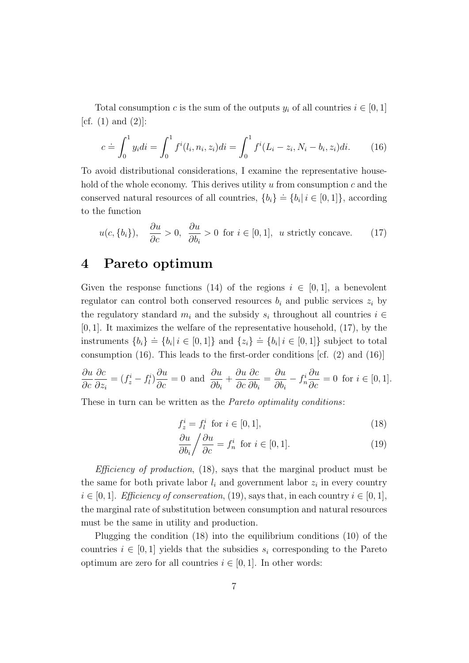Total consumption c is the sum of the outputs  $y_i$  of all countries  $i \in [0,1]$ [cf.  $(1)$  and  $(2)$ ]:

$$
c \doteq \int_0^1 y_i di = \int_0^1 f^i(l_i, n_i, z_i) di = \int_0^1 f^i(L_i - z_i, N_i - b_i, z_i) di. \tag{16}
$$

To avoid distributional considerations, I examine the representative household of the whole economy. This derives utility  $u$  from consumption  $c$  and the conserved natural resources of all countries,  ${b_i} \doteq {b_i | i \in [0,1]}$ , according to the function

$$
u(c, \{b_i\}), \quad \frac{\partial u}{\partial c} > 0, \quad \frac{\partial u}{\partial b_i} > 0 \text{ for } i \in [0, 1], \text{ u strictly concave.}
$$
 (17)

#### 4 Pareto optimum

Given the response functions (14) of the regions  $i \in [0,1]$ , a benevolent regulator can control both conserved resources  $b_i$  and public services  $z_i$  by the regulatory standard  $m_i$  and the subsidy  $s_i$  throughout all countries  $i \in$  $[0, 1]$ . It maximizes the welfare of the representative household,  $(17)$ , by the instruments  $\{b_i\} \doteq \{b_i | i \in [0,1]\}$  and  $\{z_i\} \doteq \{b_i | i \in [0,1]\}$  subject to total consumption (16). This leads to the first-order conditions  $cf. (2)$  and  $(16)$ 

$$
\frac{\partial u}{\partial c}\frac{\partial c}{\partial z_i} = (f_z^i - f_l^i)\frac{\partial u}{\partial c} = 0 \text{ and } \frac{\partial u}{\partial b_i} + \frac{\partial u}{\partial c}\frac{\partial c}{\partial b_i} = \frac{\partial u}{\partial b_i} - f_n^i \frac{\partial u}{\partial c} = 0 \text{ for } i \in [0, 1].
$$

These in turn can be written as the *Pareto optimality conditions*:

$$
f_z^i = f_l^i \quad \text{for } i \in [0, 1], \tag{18}
$$

$$
\frac{\partial u}{\partial b_i} / \frac{\partial u}{\partial c} = f_n^i \text{ for } i \in [0, 1]. \tag{19}
$$

*Efficiency of production*,  $(18)$ , says that the marginal product must be the same for both private labor  $l_i$  and government labor  $z_i$  in every country  $i \in [0, 1]$ . Efficiency of conservation, (19), says that, in each country  $i \in [0, 1]$ , the marginal rate of substitution between consumption and natural resources must be the same in utility and production.

Plugging the condition (18) into the equilibrium conditions (10) of the countries  $i \in [0, 1]$  yields that the subsidies  $s_i$  corresponding to the Pareto optimum are zero for all countries  $i \in [0,1]$ . In other words: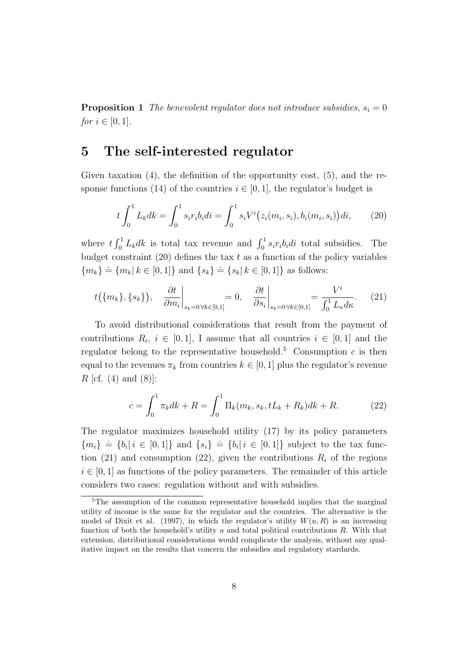**Proposition 1** The benevolent regulator does not introduce subsidies,  $s_i = 0$ *for*  $i \in [0, 1]$ .

#### 5 The self-interested regulator

Given taxation (4), the definition of the opportunity cost, (5), and the response functions (14) of the countries  $i \in [0, 1]$ , the regulator's budget is

$$
t\int_0^1 L_k dk = \int_0^1 s_i r_i b_i di = \int_0^1 s_i V^i(z_i(m_i, s_i), b_i(m_i, s_i)) di,
$$
 (20)

where  $t \int_0^1 L_k dk$  is total tax revenue and  $\int_0^1 s_i r_i b_i di$  total subsidies. The budget constraint  $(20)$  defines the tax t as a function of the policy variables  ${m_k \atop m_k} = {m_k | k \in [0,1]}$  and  ${s_k \atop m_k} = {s_k | k \in [0,1]}$  as follows:

$$
t(\{m_k\}, \{s_k\}), \quad \frac{\partial t}{\partial m_i}\bigg|_{s_k=0 \,\forall k \in [0,1]} = 0, \quad \frac{\partial t}{\partial s_i}\bigg|_{s_k=0 \,\forall k \in [0,1]} = \frac{V^i}{\int_0^1 L_\kappa d\kappa}.\tag{21}
$$

To avoid distributional considerations that result from the payment of contributions  $R_i$ ,  $i \in [0,1]$ , I assume that all countries  $i \in [0,1]$  and the regulator belong to the representative household.<sup>5</sup> Consumption  $c$  is then equal to the revenues  $\pi_k$  from countries  $k \in [0, 1]$  plus the regulator's revenue *R* [cf.  $(4)$  and  $(8)$ ]:

$$
c = \int_0^1 \pi_k dk + R = \int_0^1 \Pi_k(m_k, s_k, tL_k + R_k) dk + R. \tag{22}
$$

The regulator maximizes household utility (17) by its policy parameters  ${m_i} \equiv {b_i | i \in [0,1]}$  and  ${s_i} \equiv {b_i | i \in [0,1]}$  subject to the tax function (21) and consumption (22), given the contributions  $R_i$  of the regions  $i \in [0, 1]$  as functions of the policy parameters. The remainder of this article considers two cases: regulation without and with subsidies.

<sup>&</sup>lt;sup>5</sup>The assumption of the common representative household implies that the marginal utility of income is the same for the regulator and the countries. The alternative is the model of Dixit et al. (1997), in which the regulator's utility  $W(u, R)$  is an increasing function of both the household's utility  $u$  and total political contributions  $R$ . With that extension, distributional considerations would complicate the analysis, without any qualitative impact on the results that concern the subsidies and regulatory stardards.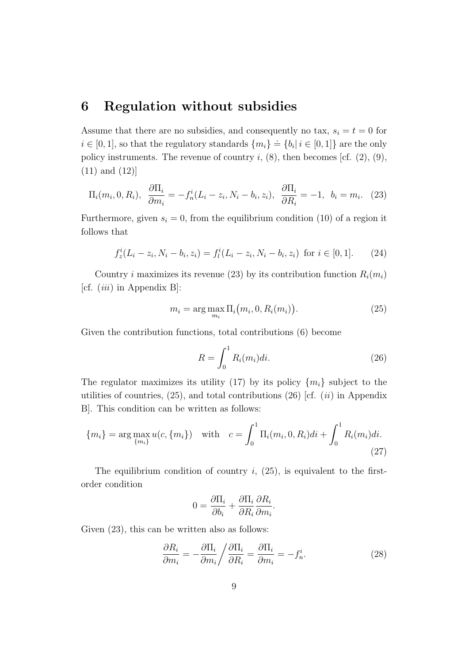#### 6 Regulation without subsidies

Assume that there are no subsidies, and consequently no tax,  $s_i = t = 0$  for  $i \in [0,1]$ , so that the regulatory standards  $\{m_i\} \doteq \{b_i | i \in [0,1]\}$  are the only policy instruments. The revenue of country  $i$ ,  $(8)$ , then becomes [cf.  $(2)$ ,  $(9)$ , (11) and (12)]

$$
\Pi_i(m_i, 0, R_i), \ \frac{\partial \Pi_i}{\partial m_i} = -f_n^i(L_i - z_i, N_i - b_i, z_i), \ \frac{\partial \Pi_i}{\partial R_i} = -1, \ b_i = m_i. \tag{23}
$$

Furthermore, given  $s_i = 0$ , from the equilibrium condition (10) of a region it follows that

$$
f_z^i(L_i - z_i, N_i - b_i, z_i) = f_l^i(L_i - z_i, N_i - b_i, z_i) \text{ for } i \in [0, 1]. \tag{24}
$$

Country *i* maximizes its revenue (23) by its contribution function  $R_i(m_i)$ [cf.  $(iii)$  in Appendix B]:

$$
m_i = \arg\max_{m_i} \Pi_i(m_i, 0, R_i(m_i)).
$$
\n(25)

Given the contribution functions, total contributions (6) become

$$
R = \int_0^1 R_i(m_i)di.
$$
 (26)

The regulator maximizes its utility (17) by its policy  $\{m_i\}$  subject to the utilities of countries,  $(25)$ , and total contributions  $(26)$  [cf.  $(ii)$  in Appendix B]. This condition can be written as follows:

$$
\{m_i\} = \arg\max_{\{m_i\}} u(c, \{m_i\}) \quad \text{with} \quad c = \int_0^1 \Pi_i(m_i, 0, R_i) di + \int_0^1 R_i(m_i) di. \tag{27}
$$

The equilibrium condition of country  $i$ ,  $(25)$ , is equivalent to the firstorder condition

$$
0 = \frac{\partial \Pi_i}{\partial b_i} + \frac{\partial \Pi_i}{\partial R_i} \frac{\partial R_i}{\partial m_i}.
$$

Given  $(23)$ , this can be written also as follows:

$$
\frac{\partial R_i}{\partial m_i} = -\frac{\partial \Pi_i}{\partial m_i} / \frac{\partial \Pi_i}{\partial R_i} = \frac{\partial \Pi_i}{\partial m_i} = -f_n^i.
$$
 (28)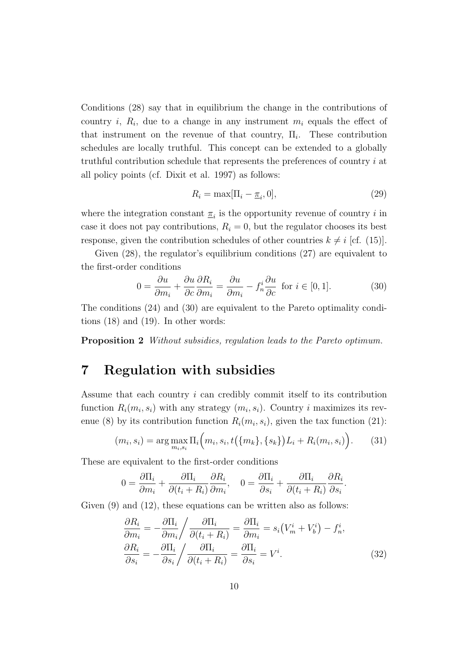Conditions (28) say that in equilibrium the change in the contributions of country *i*,  $R_i$ , due to a change in any instrument  $m_i$  equals the effect of that instrument on the revenue of that country,  $\Pi_i$ . These contribution schedules are locally truthful. This concept can be extended to a globally truthful contribution schedule that represents the preferences of country i at all policy points (cf. Dixit et al. 1997) as follows:

$$
R_i = \max[\Pi_i - \underline{\pi}_i, 0],\tag{29}
$$

where the integration constant  $\underline{\pi}_i$  is the opportunity revenue of country i in case it does not pay contributions,  $R_i = 0$ , but the regulator chooses its best response, given the contribution schedules of other countries  $k \neq i$  [cf. (15)].

Given (28), the regulator's equilibrium conditions (27) are equivalent to the first-order conditions

$$
0 = \frac{\partial u}{\partial m_i} + \frac{\partial u}{\partial c} \frac{\partial R_i}{\partial m_i} = \frac{\partial u}{\partial m_i} - f_n^i \frac{\partial u}{\partial c} \text{ for } i \in [0, 1]. \tag{30}
$$

The conditions (24) and (30) are equivalent to the Pareto optimality conditions (18) and (19). In other words:

Proposition 2 Without subsidies, regulation leads to the Pareto optimum.

#### 7 Regulation with subsidies

Assume that each country  $i$  can credibly commit itself to its contribution function  $R_i(m_i, s_i)$  with any strategy  $(m_i, s_i)$ . Country i maximizes its revenue (8) by its contribution function  $R_i(m_i, s_i)$ , given the tax function (21):

$$
(m_i, s_i) = \arg\max_{m_i, s_i} \Pi_i(m_i, s_i, t(\{m_k\}, \{s_k\})L_i + R_i(m_i, s_i)).
$$
 (31)

These are equivalent to the first-order conditions

$$
0 = \frac{\partial \Pi_i}{\partial m_i} + \frac{\partial \Pi_i}{\partial (t_i + R_i)} \frac{\partial R_i}{\partial m_i}, \quad 0 = \frac{\partial \Pi_i}{\partial s_i} + \frac{\partial \Pi_i}{\partial (t_i + R_i)} \frac{\partial R_i}{\partial s_i}.
$$

Given  $(9)$  and  $(12)$ , these equations can be written also as follows:

$$
\frac{\partial R_i}{\partial m_i} = -\frac{\partial \Pi_i}{\partial m_i} / \frac{\partial \Pi_i}{\partial (t_i + R_i)} = \frac{\partial \Pi_i}{\partial m_i} = s_i (V_m^i + V_b^i) - f_n^i,
$$
  
\n
$$
\frac{\partial R_i}{\partial s_i} = -\frac{\partial \Pi_i}{\partial s_i} / \frac{\partial \Pi_i}{\partial (t_i + R_i)} = \frac{\partial \Pi_i}{\partial s_i} = V^i.
$$
\n(32)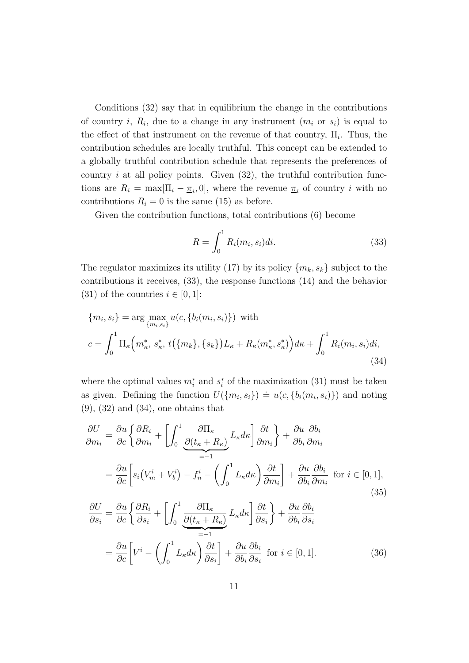Conditions (32) say that in equilibrium the change in the contributions of country *i*,  $R_i$ , due to a change in any instrument  $(m_i \text{ or } s_i)$  is equal to the effect of that instrument on the revenue of that country,  $\Pi_i$ . Thus, the contribution schedules are locally truthful. This concept can be extended to a globally truthful contribution schedule that represents the preferences of country  $i$  at all policy points. Given  $(32)$ , the truthful contribution functions are  $R_i = \max[\Pi_i - \underline{\pi}_i, 0]$ , where the revenue  $\underline{\pi}_i$  of country i with no contributions  $R_i = 0$  is the same (15) as before.

Given the contribution functions, total contributions (6) become

$$
R = \int_0^1 R_i(m_i, s_i)di.
$$
\n(33)

The regulator maximizes its utility (17) by its policy  ${m_k, s_k}$  subject to the contributions it receives, (33), the response functions (14) and the behavior (31) of the countries  $i \in [0,1]$ :

$$
\{m_i, s_i\} = \arg \max_{\{m_i, s_i\}} u(c, \{b_i(m_i, s_i)\}) \text{ with}
$$

$$
c = \int_0^1 \Pi_{\kappa} \left(m_{\kappa}^*, s_{\kappa}^*, t(\{m_k\}, \{s_k\}) L_{\kappa} + R_{\kappa}(m_{\kappa}^*, s_{\kappa}^*)\right) d\kappa + \int_0^1 R_i(m_i, s_i) di,
$$
(34)

where the optimal values  $m_i^*$  and  $s_i^*$  of the maximization (31) must be taken as given. Defining the function  $U(\{m_i, s_i\}) = u(c, \{b_i(m_i, s_i)\})$  and noting  $(9)$ ,  $(32)$  and  $(34)$ , one obtains that

$$
\frac{\partial U}{\partial m_i} = \frac{\partial u}{\partial c} \left\{ \frac{\partial R_i}{\partial m_i} + \left[ \int_0^1 \frac{\partial \Pi_\kappa}{\partial (t_\kappa + R_\kappa)} L_\kappa d\kappa \right] \frac{\partial t}{\partial m_i} \right\} + \frac{\partial u}{\partial b_i} \frac{\partial b_i}{\partial m_i}
$$

$$
= \frac{\partial u}{\partial c} \left[ s_i (V_m^i + V_b^i) - f_n^i - \left( \int_0^1 L_\kappa d\kappa \right) \frac{\partial t}{\partial m_i} \right] + \frac{\partial u}{\partial b_i} \frac{\partial b_i}{\partial m_i} \text{ for } i \in [0, 1],
$$
(35)

$$
\frac{\partial U}{\partial s_i} = \frac{\partial u}{\partial c} \left\{ \frac{\partial R_i}{\partial s_i} + \left[ \int_0^1 \frac{\partial \Pi_\kappa}{\partial (t_\kappa + R_\kappa)} L_\kappa d\kappa \right] \frac{\partial t}{\partial s_i} \right\} + \frac{\partial u}{\partial b_i} \frac{\partial b_i}{\partial s_i}
$$

$$
= \frac{\partial u}{\partial c} \left[ V^i - \left( \int_0^1 L_\kappa d\kappa \right) \frac{\partial t}{\partial s_i} \right] + \frac{\partial u}{\partial b_i} \frac{\partial b_i}{\partial s_i} \text{ for } i \in [0, 1]. \tag{36}
$$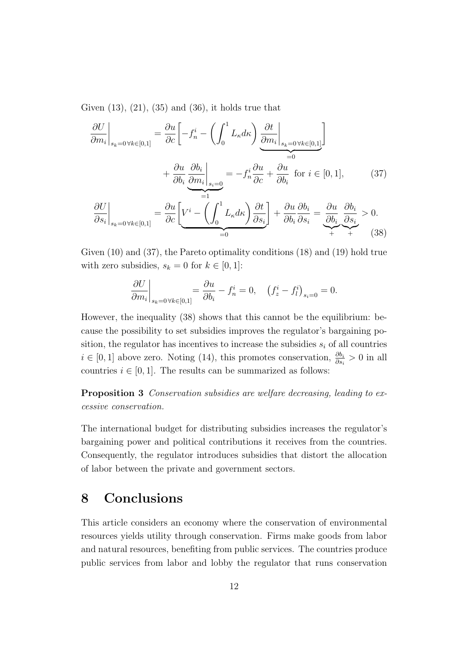Given  $(13)$ ,  $(21)$ ,  $(35)$  and  $(36)$ , it holds true that

$$
\frac{\partial U}{\partial m_i}\Big|_{s_k=0 \,\forall k \in [0,1]} = \frac{\partial u}{\partial c} \Bigg[ -f_n^i - \left( \int_0^1 L_\kappa d\kappa \right) \underbrace{\frac{\partial t}{\partial m_i}\Big|_{s_k=0 \,\forall k \in [0,1]}}_{=0} -f_n^i \frac{\partial u}{\partial c} + \frac{\partial u}{\partial b_i} \text{ for } i \in [0,1],
$$
\n
$$
+ \frac{\partial u}{\partial b_i} \underbrace{\frac{\partial b_i}{\partial m_i}\Big|_{s_i=0}}_{=1} = -f_n^i \frac{\partial u}{\partial c} + \frac{\partial u}{\partial b_i} \text{ for } i \in [0,1],
$$
\n
$$
\frac{\partial U}{\partial s_i}\Big|_{s_k=0 \,\forall k \in [0,1]} = \frac{\partial u}{\partial c} \Bigg[ \underbrace{V^i - \left( \int_0^1 L_\kappa d\kappa \right) \frac{\partial t}{\partial s_i}}_{=0} \Bigg] + \frac{\partial u}{\partial b_i} \frac{\partial b_i}{\partial s_i} = \underbrace{\frac{\partial u}{\partial b_i} \frac{\partial b_i}{\partial s_i}}_{+} > 0.
$$
\n(38)

Given (10) and (37), the Pareto optimality conditions (18) and (19) hold true with zero subsidies,  $s_k = 0$  for  $k \in [0, 1]$ :

$$
\left. \frac{\partial U}{\partial m_i} \right|_{s_k=0 \,\forall k \in [0,1]} = \frac{\partial u}{\partial b_i} - f_n^i = 0, \quad \left( f_z^i - f_l^i \right)_{s_i=0} = 0.
$$

However, the inequality (38) shows that this cannot be the equilibrium: because the possibility to set subsidies improves the regulator's bargaining position, the regulator has incentives to increase the subsidies  $s_i$  of all countries  $i \in [0,1]$  above zero. Noting (14), this promotes conservation,  $\frac{\partial b_i}{\partial s_i} > 0$  in all countries  $i \in [0, 1]$ . The results can be summarized as follows:

Proposition 3 Conservation subsidies are welfare decreasing, leading to excessive conservation.

The international budget for distributing subsidies increases the regulator's bargaining power and political contributions it receives from the countries. Consequently, the regulator introduces subsidies that distort the allocation of labor between the private and government sectors.

### 8 Conclusions

This article considers an economy where the conservation of environmental resources yields utility through conservation. Firms make goods from labor and natural resources, benefiting from public services. The countries produce public services from labor and lobby the regulator that runs conservation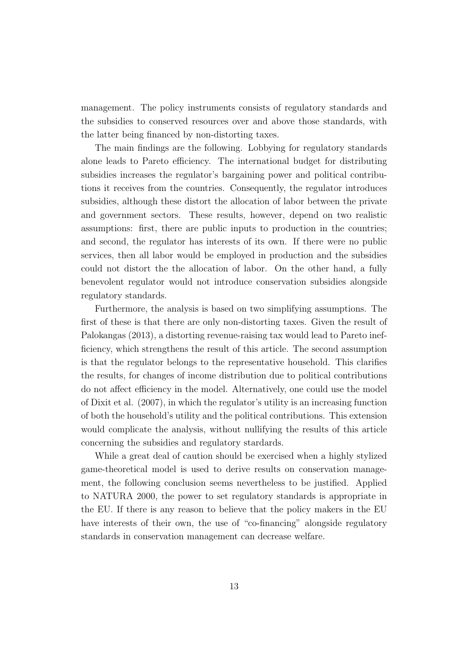management. The policy instruments consists of regulatory standards and the subsidies to conserved resources over and above those standards, with the latter being financed by non-distorting taxes.

The main findings are the following. Lobbying for regulatory standards alone leads to Pareto efficiency. The international budget for distributing subsidies increases the regulator's bargaining power and political contributions it receives from the countries. Consequently, the regulator introduces subsidies, although these distort the allocation of labor between the private and government sectors. These results, however, depend on two realistic assumptions: first, there are public inputs to production in the countries; and second, the regulator has interests of its own. If there were no public services, then all labor would be employed in production and the subsidies could not distort the the allocation of labor. On the other hand, a fully benevolent regulator would not introduce conservation subsidies alongside regulatory standards.

Furthermore, the analysis is based on two simplifying assumptions. The first of these is that there are only non-distorting taxes. Given the result of Palokangas (2013), a distorting revenue-raising tax would lead to Pareto inefficiency, which strengthens the result of this article. The second assumption is that the regulator belongs to the representative household. This clarifies the results, for changes of income distribution due to political contributions do not affect efficiency in the model. Alternatively, one could use the model of Dixit et al. (2007), in which the regulator's utility is an increasing function of both the household's utility and the political contributions. This extension would complicate the analysis, without nullifying the results of this article concerning the subsidies and regulatory stardards.

While a great deal of caution should be exercised when a highly stylized game-theoretical model is used to derive results on conservation management, the following conclusion seems nevertheless to be justified. Applied to NATURA 2000, the power to set regulatory standards is appropriate in the EU. If there is any reason to believe that the policy makers in the EU have interests of their own, the use of "co-financing" alongside regulatory standards in conservation management can decrease welfare.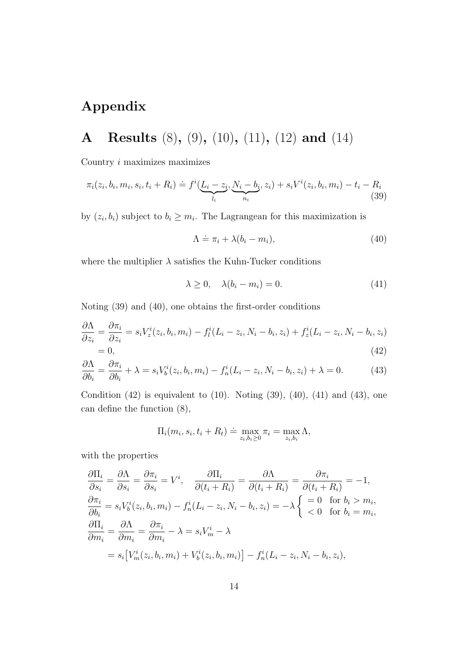## Appendix

A Results (8), (9), (10), (11), (12) and (14)

Country i maximizes maximizes

$$
\pi_i(z_i, b_i, m_i, s_i, t_i + R_i) \doteq f^i(\underbrace{L_i - z_i}_{l_i}, \underbrace{N_i - b_i}_{n_i}, z_i) + s_i V^i(z_i, b_i, m_i) - t_i - R_i
$$
\n(39)

by  $(z_i, b_i)$  subject to  $b_i \geq m_i$ . The Lagrangean for this maximization is

$$
\Lambda \doteq \pi_i + \lambda (b_i - m_i), \tag{40}
$$

where the multiplier  $\lambda$  satisfies the Kuhn-Tucker conditions

$$
\lambda \ge 0, \quad \lambda(b_i - m_i) = 0. \tag{41}
$$

Noting (39) and (40), one obtains the first-order conditions

$$
\frac{\partial \Lambda}{\partial z_i} = \frac{\partial \pi_i}{\partial z_i} = s_i V_z^i(z_i, b_i, m_i) - f_l^i(L_i - z_i, N_i - b_i, z_i) + f_z^i(L_i - z_i, N_i - b_i, z_i)
$$
  
= 0, (42)

$$
\frac{\partial \Lambda}{\partial b_i} = \frac{\partial \pi_i}{\partial b_i} + \lambda = s_i V_b^i(z_i, b_i, m_i) - f_n^i(L_i - z_i, N_i - b_i, z_i) + \lambda = 0.
$$
 (43)

Condition  $(42)$  is equivalent to  $(10)$ . Noting  $(39)$ ,  $(40)$ ,  $(41)$  and  $(43)$ , one can define the function (8),

$$
\Pi_i(m_i, s_i, t_i + R_t) \doteq \max_{z_i, b_i \ge 0} \pi_i = \max_{z_i, b_i} \Lambda,
$$

with the properties

$$
\frac{\partial \Pi_i}{\partial s_i} = \frac{\partial \Lambda}{\partial s_i} = \frac{\partial \pi_i}{\partial s_i} = V^i, \quad \frac{\partial \Pi_i}{\partial (t_i + R_i)} = \frac{\partial \Lambda}{\partial (t_i + R_i)} = \frac{\partial \pi_i}{\partial (t_i + R_i)} = -1,
$$
\n
$$
\frac{\partial \pi_i}{\partial b_i} = s_i V^i_b(z_i, b_i, m_i) - f^i_n (L_i - z_i, N_i - b_i, z_i) = -\lambda \begin{cases} = 0 & \text{for } b_i > m_i, \\ < 0 & \text{for } b_i = m_i, \end{cases}
$$
\n
$$
\frac{\partial \Pi_i}{\partial m_i} = \frac{\partial \Lambda}{\partial m_i} = \frac{\partial \pi_i}{\partial m_i} - \lambda = s_i V^i_m - \lambda
$$
\n
$$
= s_i \left[ V^i_m(z_i, b_i, m_i) + V^i_b(z_i, b_i, m_i) \right] - f^i_n (L_i - z_i, N_i - b_i, z_i),
$$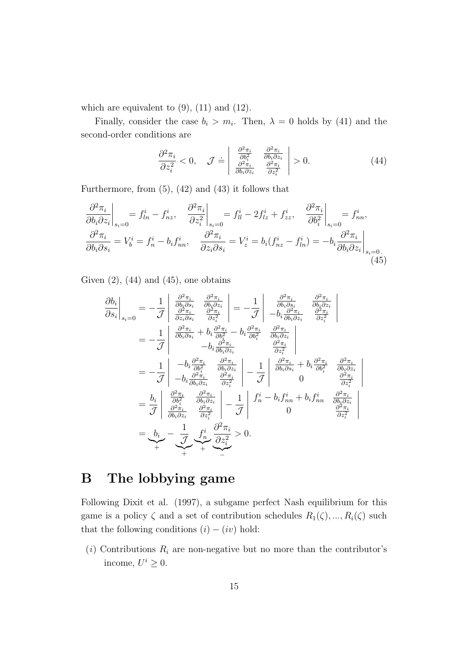which are equivalent to  $(9)$ ,  $(11)$  and  $(12)$ .

Finally, consider the case  $b_i > m_i$ . Then,  $\lambda = 0$  holds by (41) and the second-order conditions are

$$
\frac{\partial^2 \pi_i}{\partial z_i^2} < 0, \quad \mathcal{J} \doteq \left| \begin{array}{cc} \frac{\partial^2 \pi_i}{\partial b_i^2} & \frac{\partial^2 \pi_i}{\partial b_i \partial z_i} \\ \frac{\partial^2 \pi_i}{\partial b_i \partial z_i} & \frac{\partial^2 \pi_i}{\partial z_i^2} \end{array} \right| > 0. \tag{44}
$$

Furthermore, from  $(5)$ ,  $(42)$  and  $(43)$  it follows that

$$
\frac{\partial^2 \pi_i}{\partial b_i \partial z_i}\Big|_{s_i=0} = f_{ln}^i - f_{nz}^i, \quad \frac{\partial^2 \pi_i}{\partial z_i^2}\Big|_{s_i=0} = f_{ll}^i - 2f_{lz}^i + f_{zz}^i, \quad \frac{\partial^2 \pi_i}{\partial b_i^2}\Big|_{s_i=0} = f_{nn}^i,
$$
  

$$
\frac{\partial^2 \pi_i}{\partial b_i \partial s_i} = V_b^i = f_n^i - b_i f_{nn}^i, \quad \frac{\partial^2 \pi_i}{\partial z_i \partial s_i} = V_z^i = b_i (f_{nz}^i - f_{ln}^i) = -b_i \frac{\partial^2 \pi_i}{\partial b_i \partial z_i}\Big|_{s_i=0}.
$$
(45)

Given  $(2)$ ,  $(44)$  and  $(45)$ , one obtains

$$
\frac{\partial b_i}{\partial s_i}\Big|_{s_i=0} = -\frac{1}{\mathcal{J}} \begin{vmatrix} \frac{\partial^2 \pi_i}{\partial b_i \partial s_i} & \frac{\partial^2 \pi_i}{\partial b_i \partial z_i} \\ \frac{\partial^2 \pi_i}{\partial z_i \partial s_i} & \frac{\partial^2 \pi_i}{\partial z_i^2} \end{vmatrix} = -\frac{1}{\mathcal{J}} \begin{vmatrix} \frac{\partial^2 \pi_i}{\partial b_i \partial s_i} & \frac{\partial^2 \pi_i}{\partial b_i \partial z_i} \\ -b_i \frac{\partial^2 \pi_i}{\partial b_i \partial z_i} & \frac{\partial^2 \pi_i}{\partial z_i^2} \end{vmatrix}
$$
  
\n
$$
= -\frac{1}{\mathcal{J}} \begin{vmatrix} \frac{\partial^2 \pi_i}{\partial b_i \partial s_i} + b_i \frac{\partial^2 \pi_i}{\partial b_i^2} - b_i \frac{\partial^2 \pi_i}{\partial b_i^2} & \frac{\partial^2 \pi_i}{\partial b_i \partial z_i} \\ -b_i \frac{\partial^2 \pi_i}{\partial b_i \partial z_i} & \frac{\partial^2 \pi_i}{\partial z_i^2} \end{vmatrix}
$$
  
\n
$$
= -\frac{1}{\mathcal{J}} \begin{vmatrix} -b_i \frac{\partial^2 \pi_i}{\partial b_i^2} & \frac{\partial^2 \pi_i}{\partial b_i \partial z_i} \\ -b_i \frac{\partial^2 \pi_i}{\partial b_i^2} & \frac{\partial^2 \pi_i}{\partial z_i^2} \end{vmatrix} - \frac{1}{\mathcal{J}} \begin{vmatrix} \frac{\partial^2 \pi_i}{\partial b_i \partial s_i} + b_i \frac{\partial^2 \pi_i}{\partial b_i^2} & \frac{\partial^2 \pi_i}{\partial b_i \partial z_i} \\ 0 & \frac{\partial^2 \pi_i}{\partial z_i^2} \end{vmatrix}
$$
  
\n
$$
= \frac{b_i}{\mathcal{J}} \begin{vmatrix} \frac{\partial^2 \pi_i}{\partial b_i \partial z_i} & \frac{\partial^2 \pi_i}{\partial b_i \partial z_i} \\ \frac{\partial^2 \pi_i}{\partial b_i \partial z_i} & \frac{\partial^2 \pi_i}{\partial z_i^2} \end{vmatrix} - \frac{1}{\mathcal{J}} \begin{vmatrix} f_i & -b_i f_{i n} + b_i f_{i n} & \frac{\partial^2 \
$$

### B The lobbying game

Following Dixit et al. (1997), a subgame perfect Nash equilibrium for this game is a policy  $\zeta$  and a set of contribution schedules  $R_1(\zeta), ..., R_i(\zeta)$  such that the following conditions  $(i) - (iv)$  hold:

(i) Contributions  $R_i$  are non-negative but no more than the contributor's income,  $U^i \geq 0$ .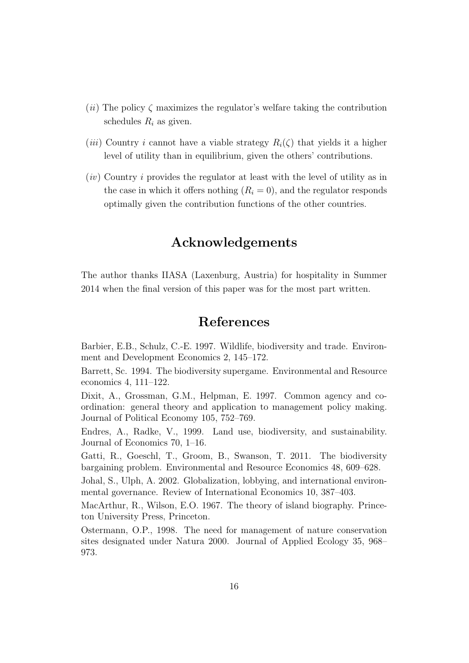- $(ii)$  The policy  $\zeta$  maximizes the regulator's welfare taking the contribution schedules  $R_i$  as given.
- (*iii*) Country *i* cannot have a viable strategy  $R_i(\zeta)$  that yields it a higher level of utility than in equilibrium, given the others' contributions.
- $(iv)$  Country i provides the regulator at least with the level of utility as in the case in which it offers nothing  $(R<sub>i</sub> = 0)$ , and the regulator responds optimally given the contribution functions of the other countries.

#### Acknowledgements

The author thanks IIASA (Laxenburg, Austria) for hospitality in Summer 2014 when the final version of this paper was for the most part written.

#### References

Barbier, E.B., Schulz, C.-E. 1997. Wildlife, biodiversity and trade. Environment and Development Economics 2, 145–172.

Barrett, Sc. 1994. The biodiversity supergame. Environmental and Resource economics 4, 111–122.

Dixit, A., Grossman, G.M., Helpman, E. 1997. Common agency and coordination: general theory and application to management policy making. Journal of Political Economy 105, 752–769.

Endres, A., Radke, V., 1999. Land use, biodiversity, and sustainability. Journal of Economics 70, 1–16.

Gatti, R., Goeschl, T., Groom, B., Swanson, T. 2011. The biodiversity bargaining problem. Environmental and Resource Economics 48, 609–628.

Johal, S., Ulph, A. 2002. Globalization, lobbying, and international environmental governance. Review of International Economics 10, 387–403.

MacArthur, R., Wilson, E.O. 1967. The theory of island biography. Princeton University Press, Princeton.

Ostermann, O.P., 1998. The need for management of nature conservation sites designated under Natura 2000. Journal of Applied Ecology 35, 968– 973.